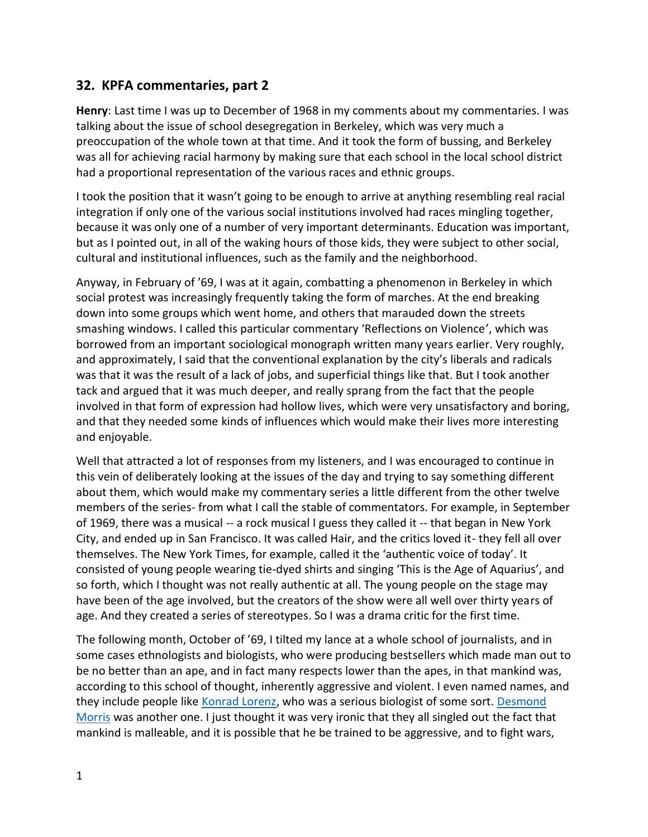## **32. KPFA commentaries, part 2**

**Henry**: Last time I was up to December of 1968 in my comments about my commentaries. I was talking about the issue of school desegregation in Berkeley, which was very much a preoccupation of the whole town at that time. And it took the form of bussing, and Berkeley was all for achieving racial harmony by making sure that each school in the local school district had a proportional representation of the various races and ethnic groups.

I took the position that it wasn't going to be enough to arrive at anything resembling real racial integration if only one of the various social institutions involved had races mingling together, because it was only one of a number of very important determinants. Education was important, but as I pointed out, in all of the waking hours of those kids, they were subject to other social, cultural and institutional influences, such as the family and the neighborhood.

Anyway, in February of '69, I was at it again, combatting a phenomenon in Berkeley in which social protest was increasingly frequently taking the form of marches. At the end breaking down into some groups which went home, and others that marauded down the streets smashing windows. I called this particular commentary 'Reflections on Violence', which was borrowed from an important sociological monograph written many years earlier. Very roughly, and approximately, I said that the conventional explanation by the city's liberals and radicals was that it was the result of a lack of jobs, and superficial things like that. But I took another tack and argued that it was much deeper, and really sprang from the fact that the people involved in that form of expression had hollow lives, which were very unsatisfactory and boring, and that they needed some kinds of influences which would make their lives more interesting and enjoyable.

Well that attracted a lot of responses from my listeners, and I was encouraged to continue in this vein of deliberately looking at the issues of the day and trying to say something different about them, which would make my commentary series a little different from the other twelve members of the series- from what I call the stable of commentators. For example, in September of 1969, there was a musical -- a rock musical I guess they called it -- that began in New York City, and ended up in San Francisco. It was called Hair, and the critics loved it- they fell all over themselves. The New York Times, for example, called it the 'authentic voice of today'. It consisted of young people wearing tie-dyed shirts and singing 'This is the Age of Aquarius', and so forth, which I thought was not really authentic at all. The young people on the stage may have been of the age involved, but the creators of the show were all well over thirty years of age. And they created a series of stereotypes. So I was a drama critic for the first time.

The following month, October of '69, I tilted my lance at a whole school of journalists, and in some cases ethnologists and biologists, who were producing bestsellers which made man out to be no better than an ape, and in fact many respects lower than the apes, in that mankind was, according to this school of thought, inherently aggressive and violent. I even named names, and they include people like Konrad Lorenz, who was a serious biologist of some sort. Desmond Morris was another one. I just thought it was very ironic that they all singled out the fact that mankind is malleable, and it is possible that he be trained to be aggressive, and to fight wars,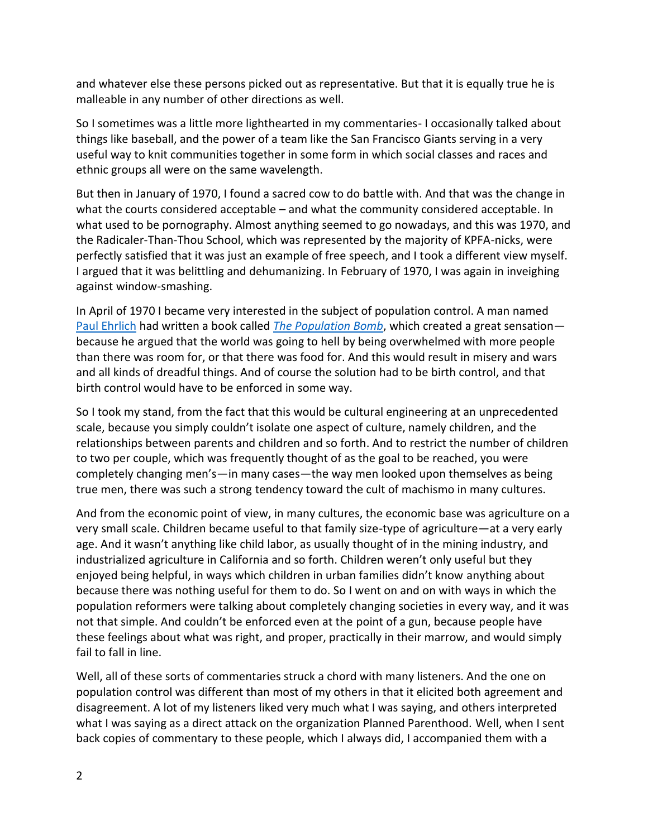and whatever else these persons picked out as representative. But that it is equally true he is malleable in any number of other directions as well.

So I sometimes was a little more lighthearted in my commentaries- I occasionally talked about things like baseball, and the power of a team like the San Francisco Giants serving in a very useful way to knit communities together in some form in which social classes and races and ethnic groups all were on the same wavelength.

But then in January of 1970, I found a sacred cow to do battle with. And that was the change in what the courts considered acceptable – and what the community considered acceptable. In what used to be pornography. Almost anything seemed to go nowadays, and this was 1970, and the Radicaler-Than-Thou School, which was represented by the majority of KPFA-nicks, were perfectly satisfied that it was just an example of free speech, and I took a different view myself. I argued that it was belittling and dehumanizing. In February of 1970, I was again in inveighing against window-smashing.

In April of 1970 I became very interested in the subject of population control. A man named Paul Ehrlich had written a book called *The Population Bomb*, which created a great sensation because he argued that the world was going to hell by being overwhelmed with more people than there was room for, or that there was food for. And this would result in misery and wars and all kinds of dreadful things. And of course the solution had to be birth control, and that birth control would have to be enforced in some way.

So I took my stand, from the fact that this would be cultural engineering at an unprecedented scale, because you simply couldn't isolate one aspect of culture, namely children, and the relationships between parents and children and so forth. And to restrict the number of children to two per couple, which was frequently thought of as the goal to be reached, you were completely changing men's—in many cases—the way men looked upon themselves as being true men, there was such a strong tendency toward the cult of machismo in many cultures.

And from the economic point of view, in many cultures, the economic base was agriculture on a very small scale. Children became useful to that family size-type of agriculture—at a very early age. And it wasn't anything like child labor, as usually thought of in the mining industry, and industrialized agriculture in California and so forth. Children weren't only useful but they enjoyed being helpful, in ways which children in urban families didn't know anything about because there was nothing useful for them to do. So I went on and on with ways in which the population reformers were talking about completely changing societies in every way, and it was not that simple. And couldn't be enforced even at the point of a gun, because people have these feelings about what was right, and proper, practically in their marrow, and would simply fail to fall in line.

Well, all of these sorts of commentaries struck a chord with many listeners. And the one on population control was different than most of my others in that it elicited both agreement and disagreement. A lot of my listeners liked very much what I was saying, and others interpreted what I was saying as a direct attack on the organization Planned Parenthood. Well, when I sent back copies of commentary to these people, which I always did, I accompanied them with a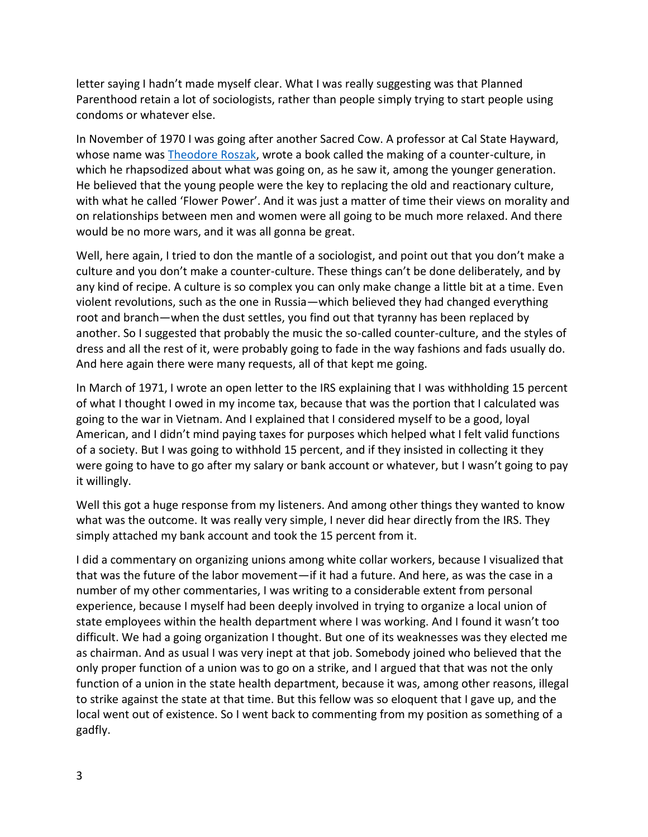letter saying I hadn't made myself clear. What I was really suggesting was that Planned Parenthood retain a lot of sociologists, rather than people simply trying to start people using condoms or whatever else.

In November of 1970 I was going after another Sacred Cow. A professor at Cal State Hayward, whose name was **Theodore Roszak**, wrote a book called the making of a counter-culture, in which he rhapsodized about what was going on, as he saw it, among the younger generation. He believed that the young people were the key to replacing the old and reactionary culture, with what he called 'Flower Power'. And it was just a matter of time their views on morality and on relationships between men and women were all going to be much more relaxed. And there would be no more wars, and it was all gonna be great.

Well, here again, I tried to don the mantle of a sociologist, and point out that you don't make a culture and you don't make a counter-culture. These things can't be done deliberately, and by any kind of recipe. A culture is so complex you can only make change a little bit at a time. Even violent revolutions, such as the one in Russia—which believed they had changed everything root and branch—when the dust settles, you find out that tyranny has been replaced by another. So I suggested that probably the music the so-called counter-culture, and the styles of dress and all the rest of it, were probably going to fade in the way fashions and fads usually do. And here again there were many requests, all of that kept me going.

In March of 1971, I wrote an open letter to the IRS explaining that I was withholding 15 percent of what I thought I owed in my income tax, because that was the portion that I calculated was going to the war in Vietnam. And I explained that I considered myself to be a good, loyal American, and I didn't mind paying taxes for purposes which helped what I felt valid functions of a society. But I was going to withhold 15 percent, and if they insisted in collecting it they were going to have to go after my salary or bank account or whatever, but I wasn't going to pay it willingly.

Well this got a huge response from my listeners. And among other things they wanted to know what was the outcome. It was really very simple, I never did hear directly from the IRS. They simply attached my bank account and took the 15 percent from it.

I did a commentary on organizing unions among white collar workers, because I visualized that that was the future of the labor movement—if it had a future. And here, as was the case in a number of my other commentaries, I was writing to a considerable extent from personal experience, because I myself had been deeply involved in trying to organize a local union of state employees within the health department where I was working. And I found it wasn't too difficult. We had a going organization I thought. But one of its weaknesses was they elected me as chairman. And as usual I was very inept at that job. Somebody joined who believed that the only proper function of a union was to go on a strike, and I argued that that was not the only function of a union in the state health department, because it was, among other reasons, illegal to strike against the state at that time. But this fellow was so eloquent that I gave up, and the local went out of existence. So I went back to commenting from my position as something of a gadfly.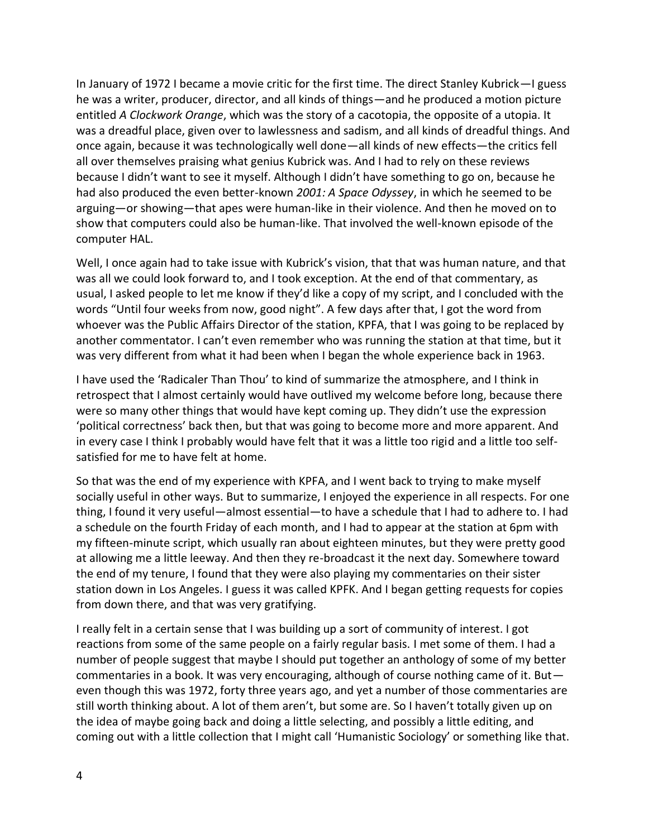In January of 1972 I became a movie critic for the first time. The direct Stanley Kubrick—I guess he was a writer, producer, director, and all kinds of things—and he produced a motion picture entitled *A Clockwork Orange*, which was the story of a cacotopia, the opposite of a utopia. It was a dreadful place, given over to lawlessness and sadism, and all kinds of dreadful things. And once again, because it was technologically well done—all kinds of new effects—the critics fell all over themselves praising what genius Kubrick was. And I had to rely on these reviews because I didn't want to see it myself. Although I didn't have something to go on, because he had also produced the even better-known *2001: A Space Odyssey*, in which he seemed to be arguing—or showing—that apes were human-like in their violence. And then he moved on to show that computers could also be human-like. That involved the well-known episode of the computer HAL.

Well, I once again had to take issue with Kubrick's vision, that that was human nature, and that was all we could look forward to, and I took exception. At the end of that commentary, as usual, I asked people to let me know if they'd like a copy of my script, and I concluded with the words "Until four weeks from now, good night". A few days after that, I got the word from whoever was the Public Affairs Director of the station, KPFA, that I was going to be replaced by another commentator. I can't even remember who was running the station at that time, but it was very different from what it had been when I began the whole experience back in 1963.

I have used the 'Radicaler Than Thou' to kind of summarize the atmosphere, and I think in retrospect that I almost certainly would have outlived my welcome before long, because there were so many other things that would have kept coming up. They didn't use the expression 'political correctness' back then, but that was going to become more and more apparent. And in every case I think I probably would have felt that it was a little too rigid and a little too self satisfied for me to have felt at home.

So that was the end of my experience with KPFA, and I went back to trying to make myself socially useful in other ways. But to summarize, I enjoyed the experience in all respects. For one thing, I found it very useful—almost essential—to have a schedule that I had to adhere to. I had a schedule on the fourth Friday of each month, and I had to appear at the station at 6pm with my fifteen-minute script, which usually ran about eighteen minutes, but they were pretty good at allowing me a little leeway. And then they re-broadcast it the next day. Somewhere toward the end of my tenure, I found that they were also playing my commentaries on their sister station down in Los Angeles. I guess it was called KPFK. And I began getting requests for copies from down there, and that was very gratifying.

I really felt in a certain sense that I was building up a sort of community of interest. I got reactions from some of the same people on a fairly regular basis. I met some of them. I had a number of people suggest that maybe I should put together an anthology of some of my better commentaries in a book. It was very encouraging, although of course nothing came of it. But even though this was 1972, forty three years ago, and yet a number of those commentaries are still worth thinking about. A lot of them aren't, but some are. So I haven't totally given up on the idea of maybe going back and doing a little selecting, and possibly a little editing, and coming out with a little collection that I might call 'Humanistic Sociology' or something like that.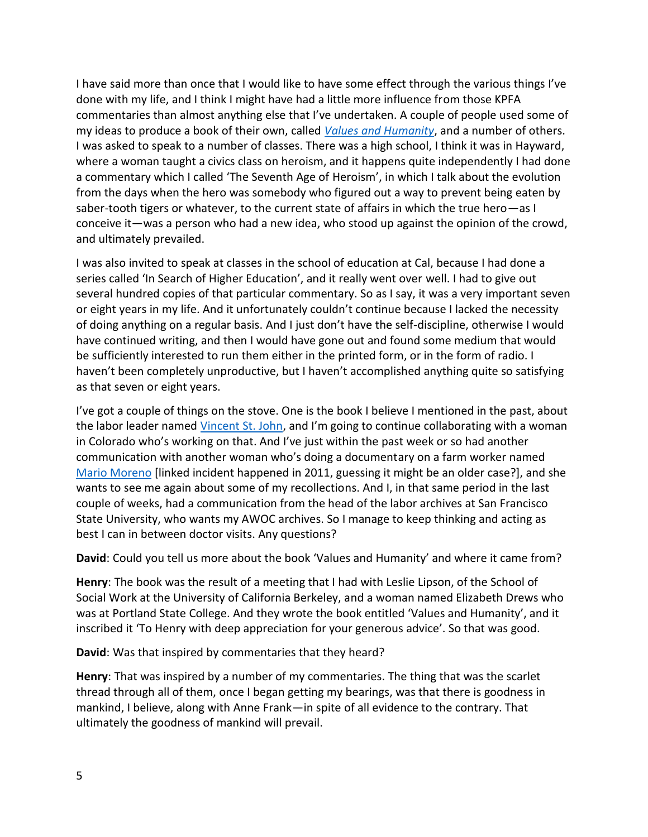I have said more than once that I would like to have some effect through the various things I've done with my life, and I think I might have had a little more influence from those KPFA commentaries than almost anything else that I've undertaken. A couple of people used some of my ideas to produce a book of their own, called *Values and Humanity*, and a number of others. I was asked to speak to a number of classes. There was a high school, I think it was in Hayward, where a woman taught a civics class on heroism, and it happens quite independently I had done a commentary which I called 'The Seventh Age of Heroism', in which I talk about the evolution from the days when the hero was somebody who figured out a way to prevent being eaten by saber-tooth tigers or whatever, to the current state of affairs in which the true hero—as I conceive it—was a person who had a new idea, who stood up against the opinion of the crowd, and ultimately prevailed.

I was also invited to speak at classes in the school of education at Cal, because I had done a series called 'In Search of Higher Education', and it really went over well. I had to give out several hundred copies of that particular commentary. So as I say, it was a very important seven or eight years in my life. And it unfortunately couldn't continue because I lacked the necessity of doing anything on a regular basis. And I just don't have the self-discipline, otherwise I would have continued writing, and then I would have gone out and found some medium that would be sufficiently interested to run them either in the printed form, or in the form of radio. I haven't been completely unproductive, but I haven't accomplished anything quite so satisfying as that seven or eight years.

I've got a couple of things on the stove. One is the book I believe I mentioned in the past, about the labor leader named Vincent St. John, and I'm going to continue collaborating with a woman in Colorado who's working on that. And I've just within the past week or so had another communication with another woman who's doing a documentary on a farm worker named Mario Moreno [linked incident happened in 2011, guessing it might be an older case?], and she wants to see me again about some of my recollections. And I, in that same period in the last couple of weeks, had a communication from the head of the labor archives at San Francisco State University, who wants my AWOC archives. So I manage to keep thinking and acting as best I can in between doctor visits. Any questions?

**David**: Could you tell us more about the book 'Values and Humanity' and where it came from?

**Henry**: The book was the result of a meeting that I had with Leslie Lipson, of the School of Social Work at the University of California Berkeley, and a woman named Elizabeth Drews who was at Portland State College. And they wrote the book entitled 'Values and Humanity', and it inscribed it 'To Henry with deep appreciation for your generous advice'. So that was good.

**David**: Was that inspired by commentaries that they heard?

**Henry**: That was inspired by a number of my commentaries. The thing that was the scarlet thread through all of them, once I began getting my bearings, was that there is goodness in mankind, I believe, along with Anne Frank—in spite of all evidence to the contrary. That ultimately the goodness of mankind will prevail.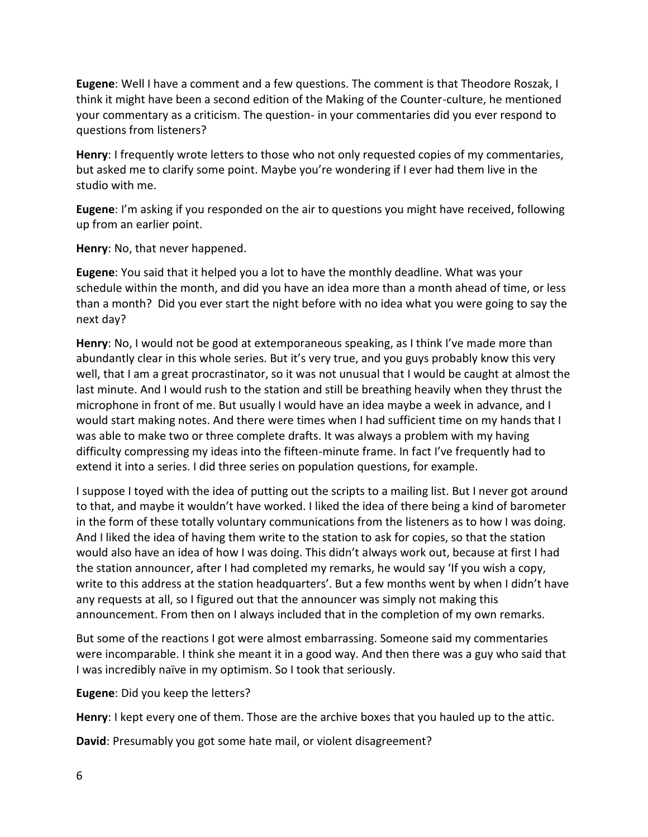**Eugene**: Well I have a comment and a few questions. The comment is that Theodore Roszak, I think it might have been a second edition of the Making of the Counter-culture, he mentioned your commentary as a criticism. The question- in your commentaries did you ever respond to questions from listeners?

**Henry**: I frequently wrote letters to those who not only requested copies of my commentaries, but asked me to clarify some point. Maybe you're wondering if I ever had them live in the studio with me.

**Eugene**: I'm asking if you responded on the air to questions you might have received, following up from an earlier point.

**Henry**: No, that never happened.

**Eugene**: You said that it helped you a lot to have the monthly deadline. What was your schedule within the month, and did you have an idea more than a month ahead of time, or less than a month? Did you ever start the night before with no idea what you were going to say the next day?

**Henry**: No, I would not be good at extemporaneous speaking, as I think I've made more than abundantly clear in this whole series. But it's very true, and you guys probably know this very well, that I am a great procrastinator, so it was not unusual that I would be caught at almost the last minute. And I would rush to the station and still be breathing heavily when they thrust the microphone in front of me. But usually I would have an idea maybe a week in advance, and I would start making notes. And there were times when I had sufficient time on my hands that I was able to make two or three complete drafts. It was always a problem with my having difficulty compressing my ideas into the fifteen-minute frame. In fact I've frequently had to extend it into a series. I did three series on population questions, for example.

I suppose I toyed with the idea of putting out the scripts to a mailing list. But I never got around to that, and maybe it wouldn't have worked. I liked the idea of there being a kind of barometer in the form of these totally voluntary communications from the listeners as to how I was doing. And I liked the idea of having them write to the station to ask for copies, so that the station would also have an idea of how I was doing. This didn't always work out, because at first I had the station announcer, after I had completed my remarks, he would say 'If you wish a copy, write to this address at the station headquarters'. But a few months went by when I didn't have any requests at all, so I figured out that the announcer was simply not making this announcement. From then on I always included that in the completion of my own remarks.

But some of the reactions I got were almost embarrassing. Someone said my commentaries were incomparable. I think she meant it in a good way. And then there was a guy who said that I was incredibly naïve in my optimism. So I took that seriously.

**Eugene**: Did you keep the letters?

**Henry**: I kept every one of them. Those are the archive boxes that you hauled up to the attic.

**David**: Presumably you got some hate mail, or violent disagreement?